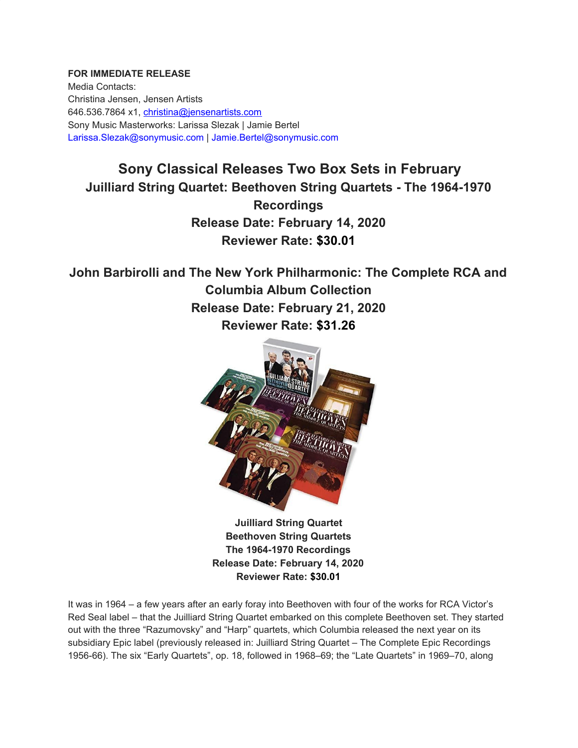## **FOR IMMEDIATE RELEASE**

Media Contacts: Christina Jensen, Jensen Artists 646.536.7864 x1, christina@jensenartists.com Sony Music Masterworks: Larissa Slezak | Jamie Bertel Larissa.Slezak@sonymusic.com | Jamie.Bertel@sonymusic.com

## **Sony Classical Releases Two Box Sets in February Juilliard String Quartet: Beethoven String Quartets - The 1964-1970 Recordings Release Date: February 14, 2020 Reviewer Rate: \$30.01**

## **John Barbirolli and The New York Philharmonic: The Complete RCA and Columbia Album Collection Release Date: February 21, 2020 Reviewer Rate: \$31.26**



**Juilliard String Quartet Beethoven String Quartets The 1964-1970 Recordings Release Date: February 14, 2020 Reviewer Rate: \$30.01**

It was in 1964 – a few years after an early foray into Beethoven with four of the works for RCA Victor's Red Seal label – that the Juilliard String Quartet embarked on this complete Beethoven set. They started out with the three "Razumovsky" and "Harp" quartets, which Columbia released the next year on its subsidiary Epic label (previously released in: Juilliard String Quartet – The Complete Epic Recordings 1956-66). The six "Early Quartets", op. 18, followed in 1968–69; the "Late Quartets" in 1969–70, along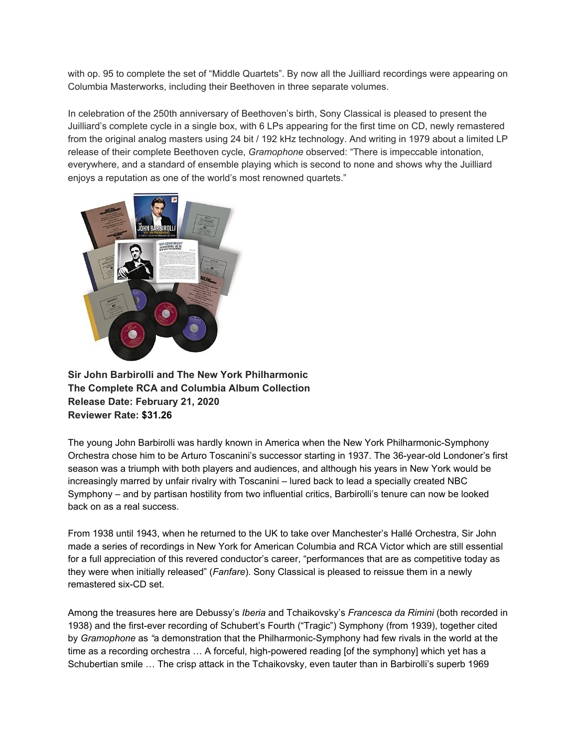with op. 95 to complete the set of "Middle Quartets". By now all the Juilliard recordings were appearing on Columbia Masterworks, including their Beethoven in three separate volumes.

In celebration of the 250th anniversary of Beethoven's birth, Sony Classical is pleased to present the Juilliard's complete cycle in a single box, with 6 LPs appearing for the first time on CD, newly remastered from the original analog masters using 24 bit / 192 kHz technology. And writing in 1979 about a limited LP release of their complete Beethoven cycle, *Gramophone* observed: "There is impeccable intonation, everywhere, and a standard of ensemble playing which is second to none and shows why the Juilliard enjoys a reputation as one of the world's most renowned quartets."



**Sir John Barbirolli and The New York Philharmonic The Complete RCA and Columbia Album Collection Release Date: February 21, 2020 Reviewer Rate: \$31.26**

The young John Barbirolli was hardly known in America when the New York Philharmonic-Symphony Orchestra chose him to be Arturo Toscanini's successor starting in 1937. The 36-year-old Londoner's first season was a triumph with both players and audiences, and although his years in New York would be increasingly marred by unfair rivalry with Toscanini – lured back to lead a specially created NBC Symphony – and by partisan hostility from two influential critics, Barbirolli's tenure can now be looked back on as a real success.

From 1938 until 1943, when he returned to the UK to take over Manchester's Hallé Orchestra, Sir John made a series of recordings in New York for American Columbia and RCA Victor which are still essential for a full appreciation of this revered conductor's career, "performances that are as competitive today as they were when initially released" (*Fanfare*). Sony Classical is pleased to reissue them in a newly remastered six-CD set.

Among the treasures here are Debussy's *Iberia* and Tchaikovsky's *Francesca da Rimini* (both recorded in 1938) and the first-ever recording of Schubert's Fourth ("Tragic") Symphony (from 1939), together cited by *Gramophone* as *"*a demonstration that the Philharmonic-Symphony had few rivals in the world at the time as a recording orchestra … A forceful, high-powered reading [of the symphony] which yet has a Schubertian smile … The crisp attack in the Tchaikovsky, even tauter than in Barbirolli's superb 1969